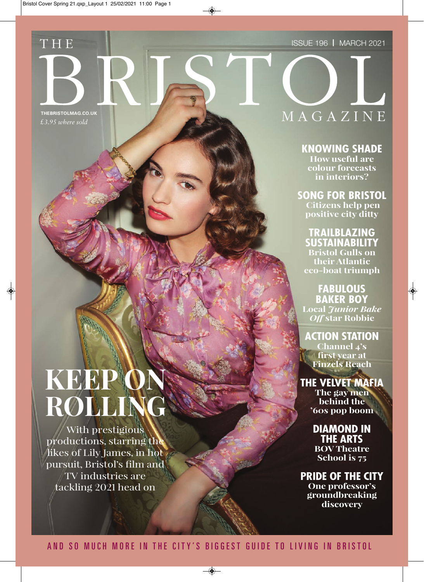#### Issue 196 I MARCH 2021

*£3.95 where sold*

T H E

## THEBRISTOLMAG.CO.UK**N A G A Z I N** E

**KNOWING SHADE How useful are colour forecasts in interiors?**

**SONG FOR BRISTOL Citizens help pen positive city ditty**

**TRAILBLAZING SUSTAINABILITY Bristol Gulls on their Atlantic eco-boat triumph** 

**FABULOUS BAKER BOY Local** *Junior Bake Off* **star Robbie**

**ACTION STATION Channel 4's first year at Finzels Reach**

### **THE VELVET MAFIA**

**The gay men behind the '60s pop boom**

**DIAMOND IN THE ARTS BOV Theatre** 

**School is 75**

**PRIDE OF THE CITY One professor's groundbreaking discovery** 

# **KEEP ROLI**

With prestigious productions, starring the likes of Lily James, in hot pursuit, Bristol's film and TV industries are tackling 2021 head on